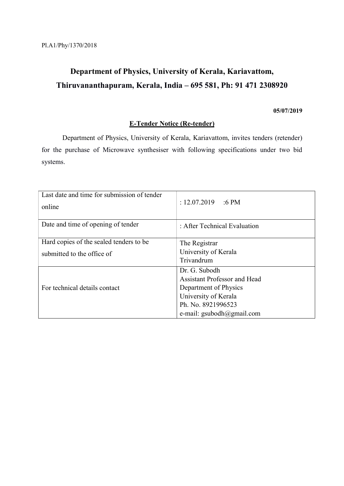# Department of Physics, University of Kerala, Kariavattom, Thiruvananthapuram, Kerala, India – 695 581, Ph: 91 471 2308920

## 05/07/2019

## E-Tender Notice (Re-tender)

 Department of Physics, University of Kerala, Kariavattom, invites tenders (retender) for the purchase of Microwave synthesiser with following specifications under two bid systems.

| Last date and time for submission of tender<br>online | : 12.07.2019<br>$:6$ PM             |
|-------------------------------------------------------|-------------------------------------|
| Date and time of opening of tender                    | : After Technical Evaluation        |
| Hard copies of the sealed tenders to be               | The Registrar                       |
| submitted to the office of                            | University of Kerala                |
|                                                       | Trivandrum                          |
| For technical details contact                         | Dr. G. Subodh                       |
|                                                       | <b>Assistant Professor and Head</b> |
|                                                       | Department of Physics               |
|                                                       | University of Kerala                |
|                                                       | Ph. No. 8921996523                  |
|                                                       | e-mail: gsubodh $@g$ mail.com       |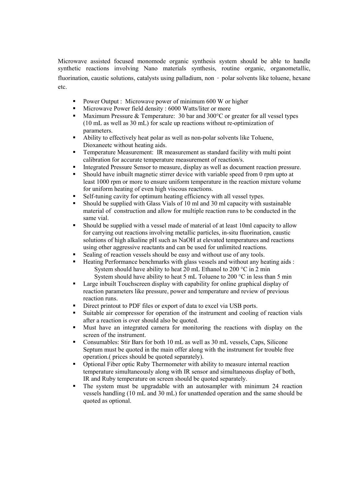Microwave assisted focused monomode organic synthesis system should be able to handle synthetic reactions involving Nano materials synthesis, routine organic, organometallic, fluorination, caustic solutions, catalysts using palladium, non - polar solvents like toluene, hexane etc.

- **Power Output : Microwave power of minimum 600 W or higher**
- Microwave Power field density : 6000 Watts/liter or more
- Maximum Pressure & Temperature: 30 bar and 300°C or greater for all vessel types (10 mL as well as 30 mL) for scale up reactions without re-optimization of parameters.
- Ability to effectively heat polar as well as non-polar solvents like Toluene, Dioxaneetc without heating aids.
- Temperature Measurement: IR measurement as standard facility with multi point calibration for accurate temperature measurement of reaction/s.
- Integrated Pressure Sensor to measure, display as well as document reaction pressure.
- Should have inbuilt magnetic stirrer device with variable speed from 0 rpm upto at least 1000 rpm or more to ensure uniform temperature in the reaction mixture volume for uniform heating of even high viscous reactions.
- Self-tuning cavity for optimum heating efficiency with all vessel types.
- Should be supplied with Glass Vials of 10 ml and 30 ml capacity with sustainable material of construction and allow for multiple reaction runs to be conducted in the same vial.
- Should be supplied with a vessel made of material of at least 10ml capacity to allow for carrying out reactions involving metallic particles, in-situ fluorination, caustic solutions of high alkaline pH such as NaOH at elevated temperatures and reactions using other aggressive reactants and can be used for unlimited reactions.
- Sealing of reaction vessels should be easy and without use of any tools.
- Heating Performance benchmarks with glass vessels and without any heating aids : System should have ability to heat 20 mL Ethanol to 200 °C in 2 min System should have ability to heat 5 mL Toluene to 200  $\degree$ C in less than 5 min
- Large inbuilt Touchscreen display with capability for online graphical display of reaction parameters like pressure, power and temperature and review of previous reaction runs.
- Direct printout to PDF files or export of data to excel via USB ports.
- Suitable air compressor for operation of the instrument and cooling of reaction vials after a reaction is over should also be quoted.
- Must have an integrated camera for monitoring the reactions with display on the screen of the instrument.
- Consumables: Stir Bars for both 10 mL as well as 30 mL vessels, Caps, Silicone Septum must be quoted in the main offer along with the instrument for trouble free operation.( prices should be quoted separately).
- Optional Fiber optic Ruby Thermometer with ability to measure internal reaction temperature simultaneously along with IR sensor and simultaneous display of both, IR and Ruby temperature on screen should be quoted separately.
- The system must be upgradable with an autosampler with minimum 24 reaction vessels handling (10 mL and 30 mL) for unattended operation and the same should be quoted as optional.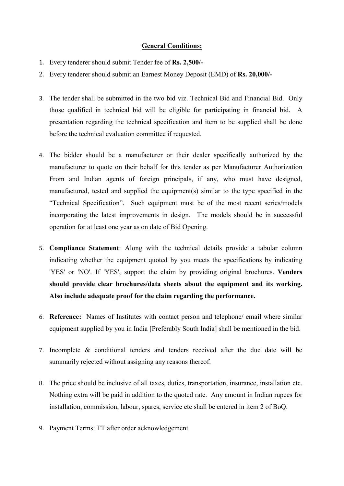## General Conditions:

- 1. Every tenderer should submit Tender fee of Rs. 2,500/-
- 2. Every tenderer should submit an Earnest Money Deposit (EMD) of Rs. 20,000/-
- 3. The tender shall be submitted in the two bid viz. Technical Bid and Financial Bid. Only those qualified in technical bid will be eligible for participating in financial bid. A presentation regarding the technical specification and item to be supplied shall be done before the technical evaluation committee if requested.
- 4. The bidder should be a manufacturer or their dealer specifically authorized by the manufacturer to quote on their behalf for this tender as per Manufacturer Authorization From and Indian agents of foreign principals, if any, who must have designed, manufactured, tested and supplied the equipment(s) similar to the type specified in the "Technical Specification". Such equipment must be of the most recent series/models incorporating the latest improvements in design. The models should be in successful operation for at least one year as on date of Bid Opening.
- 5. Compliance Statement: Along with the technical details provide a tabular column indicating whether the equipment quoted by you meets the specifications by indicating 'YES' or 'NO'. If 'YES', support the claim by providing original brochures. Venders should provide clear brochures/data sheets about the equipment and its working. Also include adequate proof for the claim regarding the performance.
- 6. Reference: Names of Institutes with contact person and telephone/ email where similar equipment supplied by you in India [Preferably South India] shall be mentioned in the bid.
- 7. Incomplete & conditional tenders and tenders received after the due date will be summarily rejected without assigning any reasons thereof.
- 8. The price should be inclusive of all taxes, duties, transportation, insurance, installation etc. Nothing extra will be paid in addition to the quoted rate. Any amount in Indian rupees for installation, commission, labour, spares, service etc shall be entered in item 2 of BoQ.
- 9. Payment Terms: TT after order acknowledgement.